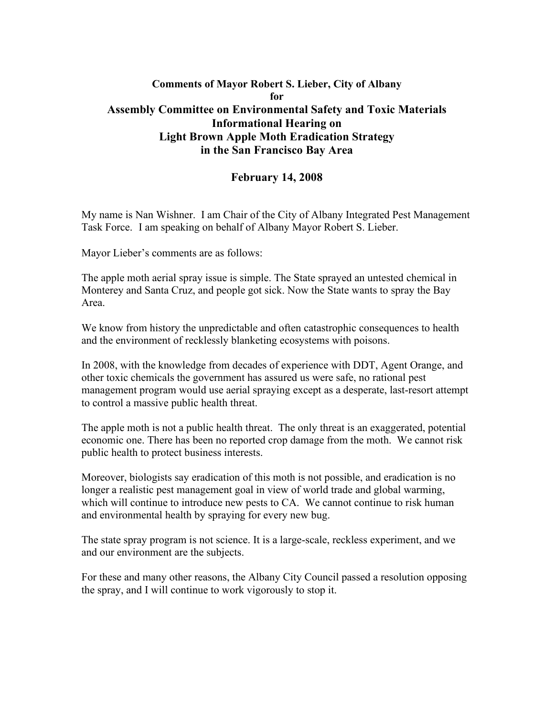## **Comments of Mayor Robert S. Lieber, City of Albany for Assembly Committee on Environmental Safety and Toxic Materials Informational Hearing on Light Brown Apple Moth Eradication Strategy in the San Francisco Bay Area**

## **February 14, 2008**

My name is Nan Wishner. I am Chair of the City of Albany Integrated Pest Management Task Force. I am speaking on behalf of Albany Mayor Robert S. Lieber.

Mayor Lieber's comments are as follows:

The apple moth aerial spray issue is simple. The State sprayed an untested chemical in Monterey and Santa Cruz, and people got sick. Now the State wants to spray the Bay Area.

We know from history the unpredictable and often catastrophic consequences to health and the environment of recklessly blanketing ecosystems with poisons.

In 2008, with the knowledge from decades of experience with DDT, Agent Orange, and other toxic chemicals the government has assured us were safe, no rational pest management program would use aerial spraying except as a desperate, last-resort attempt to control a massive public health threat.

The apple moth is not a public health threat. The only threat is an exaggerated, potential economic one. There has been no reported crop damage from the moth. We cannot risk public health to protect business interests.

Moreover, biologists say eradication of this moth is not possible, and eradication is no longer a realistic pest management goal in view of world trade and global warming, which will continue to introduce new pests to CA. We cannot continue to risk human and environmental health by spraying for every new bug.

The state spray program is not science. It is a large-scale, reckless experiment, and we and our environment are the subjects.

For these and many other reasons, the Albany City Council passed a resolution opposing the spray, and I will continue to work vigorously to stop it.